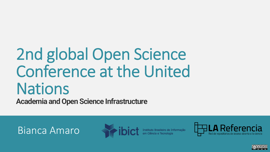# 2nd global Open Science Conference at the United **Nations**

**Academia and Open Science Infrastructure**

Bianca Amaro





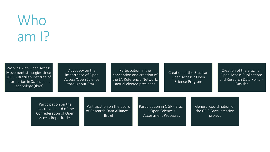## Who am I?

Working with Open Access Movement strategies since 2003 - Brazilian Institute of Information in Science and Technology (Ibict)

Advocacy on the importance of Open Access/Open Science throughout Brazil

Participation in the conception and creation of the LA Referencia Network, actual elected president

Creation of the Brazilian Open Access / Open Science Program

Creation of the Brazilian Open Access Publications and Research Data Portal - Oasisbr

Participation on the executive board of the Confederation of Open Access Repositories

Participation on the board of Research Data Alliance – Brazil

Participation in OGP - Brazil - Open Science / Assessment Processes

General coordination of the CRIS-Brazil creation project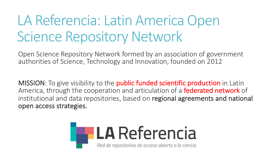## LA Referencia: Latin America Open Science Repository Network

Open Science Repository Network formed by an association of government authorities of Science, Technology and Innovation, founded on 2012

MISSION: To give visibility to the **public funded scientific production** in Latin America, through the cooperation and articulation of a federated network of institutional and data repositories, based on regional agreements and national open access strategies.

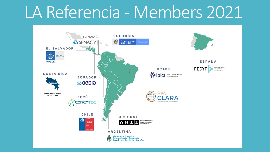# LA Referencia - Members 2021

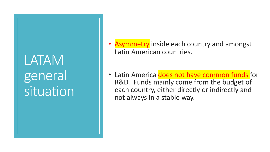LATAM general **situation** 

- **Asymmetry** inside each country and amongst Latin American countries.
- Latin America does not have common funds for R&D. Funds mainly come from the budget of each country, either directly or indirectly and not always in a stable way.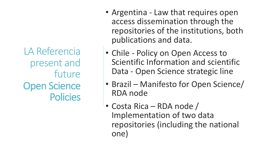LA Referencia present and future Open Science **Policies** 

- Argentina Law that requires open access dissemination through the repositories of the institutions, both publications and data.
- Chile Policy on Open Access to Scientific Information and scientific Data - Open Science strategic line
- Brazil Manifesto for Open Science/ RDA node
- Costa Rica RDA node / Implementation of two data repositories (including the national one)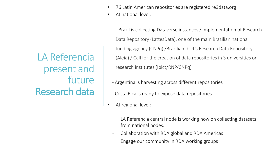• 76 Latin American repositories are registered re3data.org

• At national level:

- Brazil is collecting Dataverse instances / implementation of Research Data Repository (LattesData), one of the main Brazilian national funding agency (CNPq) /Brazilian Ibict's Research Data Repository (Aleia) / Call for the creation of data repositories in 3 universities or research institutes (Ibict/RNP/CNPq)

- Argentina is harvesting across different repositories
- Costa Rica is ready to expose data repositories
- At regional level:
	- LA Referencia central node is working now on collecting datasets from national nodes.
	- Collaboration with RDA global and RDA Americas
	- Engage our community in RDA working groups

LA Referencia present and future Research data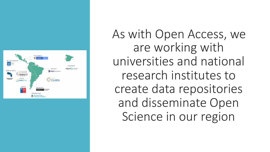

As with Open Access, we are working with universities and national research institutes to create data repositories and disseminate Open Science in our region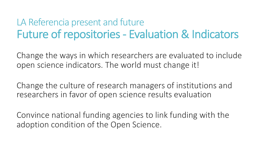#### LA Referencia present and future Future of repositories - Evaluation & Indicators

Change the ways in which researchers are evaluated to include open science indicators. The world must change it!

Change the culture of research managers of institutions and researchers in favor of open science results evaluation

Convince national funding agencies to link funding with the adoption condition of the Open Science.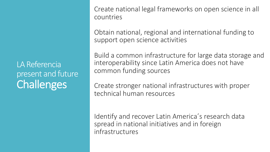LA Referencia present and future **Challenges** 

Create national legal frameworks on open science in all countries

Obtain national, regional and international funding to support open science activities

Build a common infrastructure for large data storage and interoperability since Latin America does not have common funding sources

Create stronger national infrastructures with proper technical human resources

Identify and recover Latin America´s research data spread in national initiatives and in foreign infrastructures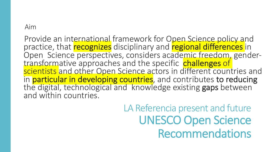#### Aim

Provide an international framework for Open Science policy and practice, that **recognizes** disciplinary and **regional differences** in Open Science perspectives, considers academic freedom, gender-<br>transformative approaches and the specific challenges of scientists and other Open Science actors in different countries and<br>in **particular in developing countries**, and contributes to reducing the digital, technological and knowledge existing gaps between and within countries.

> LA Referencia present and future UNESCO Open Science Recommendations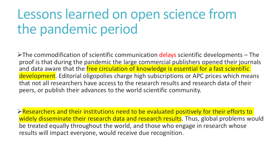### Lessons learned on open science from the pandemic period

 $\triangleright$ The commodification of scientific communication delays scientific developments – The proof is that during the pandemic the large commercial publishers opened their journals and data aware that the *free circulation of knowledge is essential for a fast scientific* development. Editorial oligopolies charge high subscriptions or APC prices which means that not all researchers have access to the research results and research data of their peers, or publish their advances to the world scientific community.

 $\triangleright$  Researchers and their institutions need to be evaluated positively for their efforts to widely disseminate their research data and research results. Thus, global problems would be treated equally throughout the world, and those who engage in research whose results will impact everyone, would receive due recognition.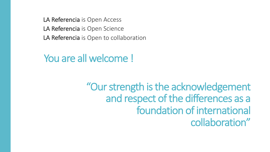LA Referencia is Open Access LA Referencia is Open Science LA Referencia is Open to collaboration

#### You are all welcome !

#### "Our strength is the acknowledgement and respect of the differences as a foundation of international collaboration"